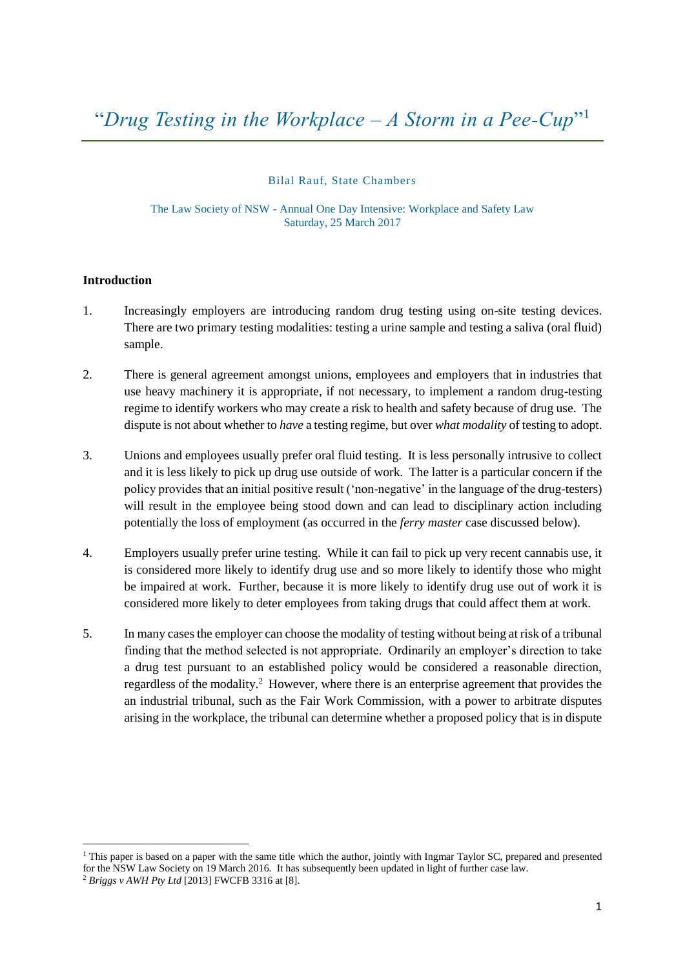Bilal Rauf, State Chambers

The Law Society of NSW - Annual One Day Intensive: Workplace and Safety Law Saturday, 25 March 2017

#### **Introduction**

- 1. Increasingly employers are introducing random drug testing using on-site testing devices. There are two primary testing modalities: testing a urine sample and testing a saliva (oral fluid) sample.
- 2. There is general agreement amongst unions, employees and employers that in industries that use heavy machinery it is appropriate, if not necessary, to implement a random drug-testing regime to identify workers who may create a risk to health and safety because of drug use. The dispute is not about whether to *have* a testing regime, but over *what modality* of testing to adopt.
- 3. Unions and employees usually prefer oral fluid testing. It is less personally intrusive to collect and it is less likely to pick up drug use outside of work. The latter is a particular concern if the policy provides that an initial positive result ('non-negative' in the language of the drug-testers) will result in the employee being stood down and can lead to disciplinary action including potentially the loss of employment (as occurred in the *ferry master* case discussed below).
- 4. Employers usually prefer urine testing. While it can fail to pick up very recent cannabis use, it is considered more likely to identify drug use and so more likely to identify those who might be impaired at work. Further, because it is more likely to identify drug use out of work it is considered more likely to deter employees from taking drugs that could affect them at work.
- 5. In many cases the employer can choose the modality of testing without being at risk of a tribunal finding that the method selected is not appropriate. Ordinarily an employer's direction to take a drug test pursuant to an established policy would be considered a reasonable direction, regardless of the modality.<sup>2</sup> However, where there is an enterprise agreement that provides the an industrial tribunal, such as the Fair Work Commission, with a power to arbitrate disputes arising in the workplace, the tribunal can determine whether a proposed policy that is in dispute

 $1$  This paper is based on a paper with the same title which the author, jointly with Ingmar Taylor SC, prepared and presented for the NSW Law Society on 19 March 2016. It has subsequently been updated in light of further case law.

<sup>2</sup> *Briggs v AWH Pty Ltd* [2013] FWCFB 3316 at [8].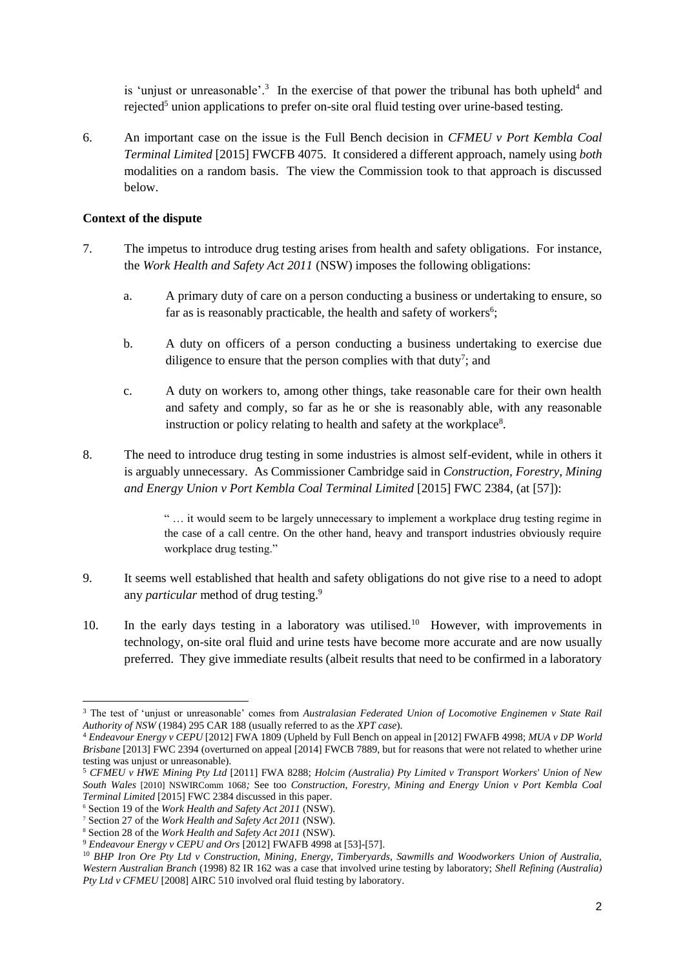is 'unjust or unreasonable'.<sup>3</sup> In the exercise of that power the tribunal has both upheld<sup>4</sup> and rejected<sup>5</sup> union applications to prefer on-site oral fluid testing over urine-based testing.

6. An important case on the issue is the Full Bench decision in *CFMEU v Port Kembla Coal Terminal Limited* [2015] FWCFB 4075. It considered a different approach, namely using *both* modalities on a random basis. The view the Commission took to that approach is discussed below.

### **Context of the dispute**

- 7. The impetus to introduce drug testing arises from health and safety obligations. For instance, the *Work Health and Safety Act 2011* (NSW) imposes the following obligations:
	- a. A primary duty of care on a person conducting a business or undertaking to ensure, so far as is reasonably practicable, the health and safety of workers<sup>6</sup>;
	- b. A duty on officers of a person conducting a business undertaking to exercise due diligence to ensure that the person complies with that duty<sup>7</sup>; and
	- c. A duty on workers to, among other things, take reasonable care for their own health and safety and comply, so far as he or she is reasonably able, with any reasonable instruction or policy relating to health and safety at the workplace<sup>8</sup>.
- 8. The need to introduce drug testing in some industries is almost self-evident, while in others it is arguably unnecessary. As Commissioner Cambridge said in *Construction, Forestry, Mining and Energy Union v Port Kembla Coal Terminal Limited* [2015] FWC 2384, (at [57]):

" … it would seem to be largely unnecessary to implement a workplace drug testing regime in the case of a call centre. On the other hand, heavy and transport industries obviously require workplace drug testing."

- 9. It seems well established that health and safety obligations do not give rise to a need to adopt any *particular* method of drug testing.<sup>9</sup>
- 10. In the early days testing in a laboratory was utilised.<sup>10</sup> However, with improvements in technology, on-site oral fluid and urine tests have become more accurate and are now usually preferred. They give immediate results (albeit results that need to be confirmed in a laboratory

<sup>3</sup> The test of 'unjust or unreasonable' comes from *Australasian Federated Union of Locomotive Enginemen v State Rail Authority of NSW* (1984) 295 CAR 188 (usually referred to as the *XPT case*).

<sup>4</sup> *Endeavour Energy v CEPU* [2012] FWA 1809 (Upheld by Full Bench on appeal in [2012] FWAFB 4998; *MUA v DP World Brisbane* [2013] FWC 2394 (overturned on appeal [2014] FWCB 7889, but for reasons that were not related to whether urine testing was unjust or unreasonable).

<sup>5</sup> *CFMEU v HWE Mining Pty Ltd* [2011] FWA 8288; *Holcim (Australia) Pty Limited v Transport Workers' Union of New South Wales* [2010] NSWIRComm 1068*;* See too *Construction, Forestry, Mining and Energy Union v Port Kembla Coal Terminal Limited* [2015] FWC 2384 discussed in this paper.

<sup>6</sup> Section 19 of the *Work Health and Safety Act 2011* (NSW).

<sup>7</sup> Section 27 of the *Work Health and Safety Act 2011* (NSW).

<sup>8</sup> Section 28 of the *Work Health and Safety Act 2011* (NSW).

<sup>9</sup> *Endeavour Energy v CEPU and Ors* [2012] FWAFB 4998 at [53]-[57].

<sup>10</sup> *BHP Iron Ore Pty Ltd v Construction, Mining, Energy, Timberyards, Sawmills and Woodworkers Union of Australia, Western Australian Branch* (1998) 82 IR 162 was a case that involved urine testing by laboratory; *Shell Refining (Australia) Pty Ltd v CFMEU* [2008] AIRC 510 involved oral fluid testing by laboratory.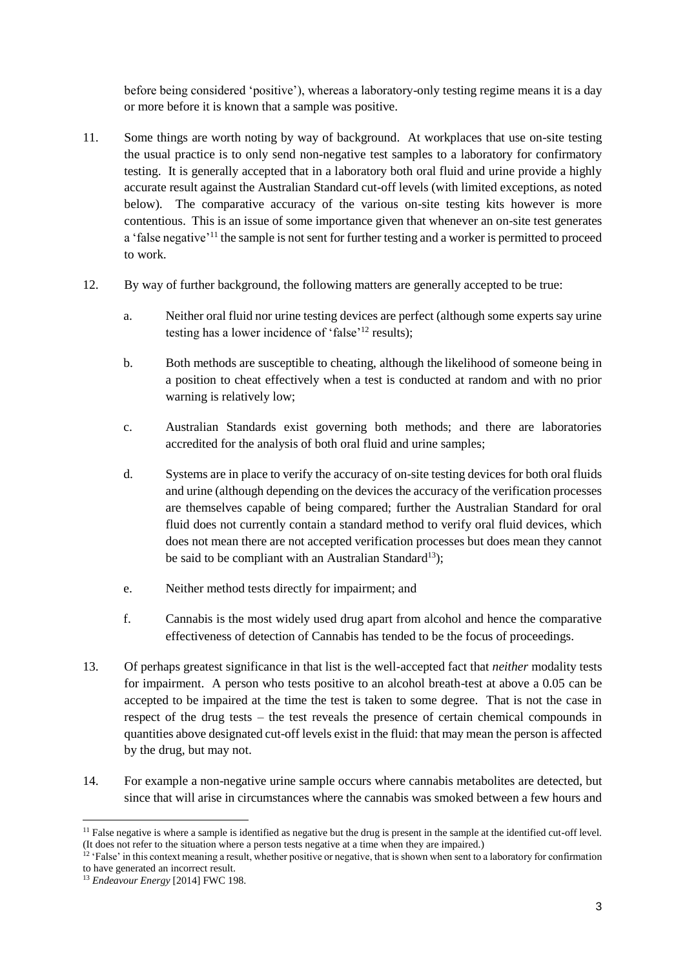before being considered 'positive'), whereas a laboratory-only testing regime means it is a day or more before it is known that a sample was positive.

- 11. Some things are worth noting by way of background. At workplaces that use on-site testing the usual practice is to only send non-negative test samples to a laboratory for confirmatory testing. It is generally accepted that in a laboratory both oral fluid and urine provide a highly accurate result against the Australian Standard cut-off levels (with limited exceptions, as noted below). The comparative accuracy of the various on-site testing kits however is more contentious. This is an issue of some importance given that whenever an on-site test generates a 'false negative'<sup>11</sup> the sample is not sent for further testing and a worker is permitted to proceed to work.
- 12. By way of further background, the following matters are generally accepted to be true:
	- a. Neither oral fluid nor urine testing devices are perfect (although some experts say urine testing has a lower incidence of 'false'<sup>12</sup> results);
	- b. Both methods are susceptible to cheating, although the likelihood of someone being in a position to cheat effectively when a test is conducted at random and with no prior warning is relatively low;
	- c. Australian Standards exist governing both methods; and there are laboratories accredited for the analysis of both oral fluid and urine samples;
	- d. Systems are in place to verify the accuracy of on-site testing devices for both oral fluids and urine (although depending on the devices the accuracy of the verification processes are themselves capable of being compared; further the Australian Standard for oral fluid does not currently contain a standard method to verify oral fluid devices, which does not mean there are not accepted verification processes but does mean they cannot be said to be compliant with an Australian Standard<sup>13</sup>);
	- e. Neither method tests directly for impairment; and
	- f. Cannabis is the most widely used drug apart from alcohol and hence the comparative effectiveness of detection of Cannabis has tended to be the focus of proceedings.
- 13. Of perhaps greatest significance in that list is the well-accepted fact that *neither* modality tests for impairment. A person who tests positive to an alcohol breath-test at above a 0.05 can be accepted to be impaired at the time the test is taken to some degree. That is not the case in respect of the drug tests – the test reveals the presence of certain chemical compounds in quantities above designated cut-off levels exist in the fluid: that may mean the person is affected by the drug, but may not.
- 14. For example a non-negative urine sample occurs where cannabis metabolites are detected, but since that will arise in circumstances where the cannabis was smoked between a few hours and

<sup>&</sup>lt;sup>11</sup> False negative is where a sample is identified as negative but the drug is present in the sample at the identified cut-off level. (It does not refer to the situation where a person tests negative at a time when they are impaired.)

<sup>&</sup>lt;sup>12</sup> 'False' in this context meaning a result, whether positive or negative, that is shown when sent to a laboratory for confirmation to have generated an incorrect result.

<sup>13</sup> *Endeavour Energy* [2014] FWC 198.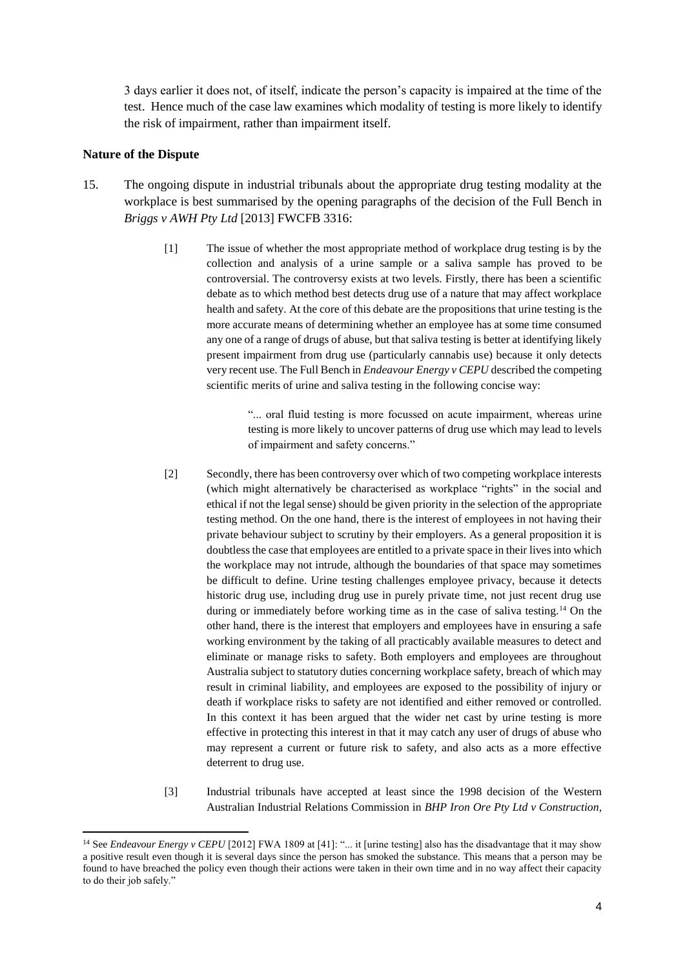3 days earlier it does not, of itself, indicate the person's capacity is impaired at the time of the test. Hence much of the case law examines which modality of testing is more likely to identify the risk of impairment, rather than impairment itself.

### **Nature of the Dispute**

 $\overline{a}$ 

- 15. The ongoing dispute in industrial tribunals about the appropriate drug testing modality at the workplace is best summarised by the opening paragraphs of the decision of the Full Bench in *Briggs v AWH Pty Ltd* [2013] FWCFB 3316:
	- [1] The issue of whether the most appropriate method of workplace drug testing is by the collection and analysis of a urine sample or a saliva sample has proved to be controversial. The controversy exists at two levels. Firstly, there has been a scientific debate as to which method best detects drug use of a nature that may affect workplace health and safety. At the core of this debate are the propositions that urine testing is the more accurate means of determining whether an employee has at some time consumed any one of a range of drugs of abuse, but that saliva testing is better at identifying likely present impairment from drug use (particularly cannabis use) because it only detects very recent use. The Full Bench in *Endeavour Energy v CEPU* described the competing scientific merits of urine and saliva testing in the following concise way:

"... oral fluid testing is more focussed on acute impairment, whereas urine testing is more likely to uncover patterns of drug use which may lead to levels of impairment and safety concerns."

- [2] Secondly, there has been controversy over which of two competing workplace interests (which might alternatively be characterised as workplace "rights" in the social and ethical if not the legal sense) should be given priority in the selection of the appropriate testing method. On the one hand, there is the interest of employees in not having their private behaviour subject to scrutiny by their employers. As a general proposition it is doubtless the case that employees are entitled to a private space in their lives into which the workplace may not intrude, although the boundaries of that space may sometimes be difficult to define. Urine testing challenges employee privacy, because it detects historic drug use, including drug use in purely private time, not just recent drug use during or immediately before working time as in the case of saliva testing.<sup>14</sup> On the other hand, there is the interest that employers and employees have in ensuring a safe working environment by the taking of all practicably available measures to detect and eliminate or manage risks to safety. Both employers and employees are throughout Australia subject to statutory duties concerning workplace safety, breach of which may result in criminal liability, and employees are exposed to the possibility of injury or death if workplace risks to safety are not identified and either removed or controlled. In this context it has been argued that the wider net cast by urine testing is more effective in protecting this interest in that it may catch any user of drugs of abuse who may represent a current or future risk to safety, and also acts as a more effective deterrent to drug use.
- [3] Industrial tribunals have accepted at least since the 1998 decision of the Western Australian Industrial Relations Commission in *BHP Iron Ore Pty Ltd v Construction,*

<sup>&</sup>lt;sup>14</sup> See *Endeavour Energy v CEPU* [2012] FWA 1809 at [41]: "... it [urine testing] also has the disadvantage that it may show a positive result even though it is several days since the person has smoked the substance. This means that a person may be found to have breached the policy even though their actions were taken in their own time and in no way affect their capacity to do their job safely."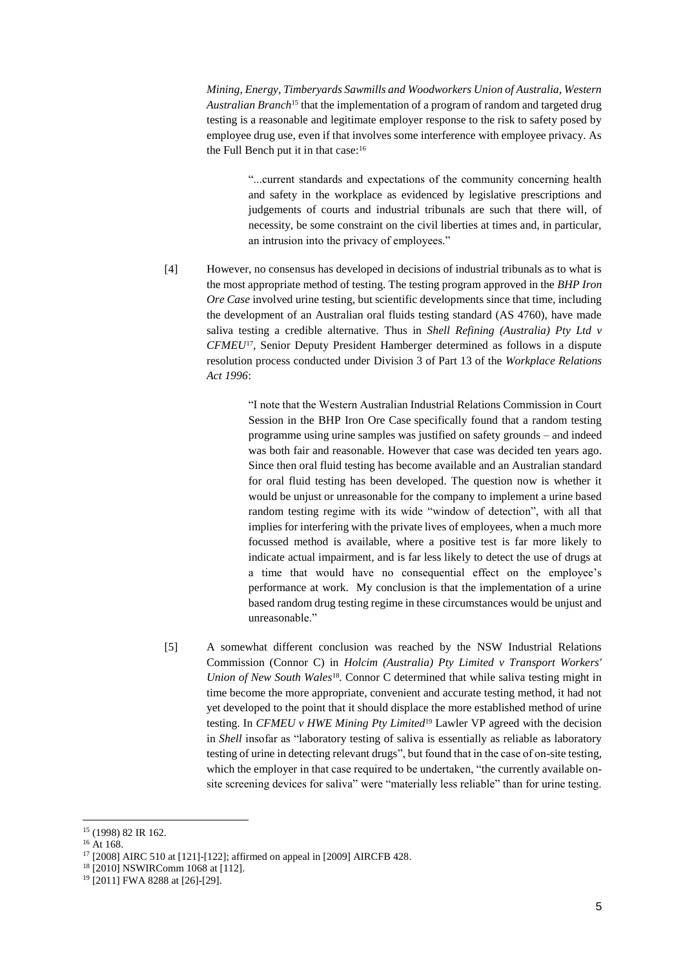*Mining, Energy, Timberyards Sawmills and Woodworkers Union of Australia, Western Australian Branch*<sup>15</sup> that the implementation of a program of random and targeted drug testing is a reasonable and legitimate employer response to the risk to safety posed by employee drug use, even if that involves some interference with employee privacy. As the Full Bench put it in that case:<sup>16</sup>

> "...current standards and expectations of the community concerning health and safety in the workplace as evidenced by legislative prescriptions and judgements of courts and industrial tribunals are such that there will, of necessity, be some constraint on the civil liberties at times and, in particular, an intrusion into the privacy of employees."

[4] However, no consensus has developed in decisions of industrial tribunals as to what is the most appropriate method of testing. The testing program approved in the *BHP Iron Ore Case* involved urine testing, but scientific developments since that time, including the development of an Australian oral fluids testing standard (AS 4760), have made saliva testing a credible alternative. Thus in *Shell Refining (Australia) Pty Ltd v CFMEU*17, Senior Deputy President Hamberger determined as follows in a dispute resolution process conducted under Division 3 of Part 13 of the *Workplace Relations Act 1996*:

> "I note that the Western Australian Industrial Relations Commission in Court Session in the BHP Iron Ore Case specifically found that a random testing programme using urine samples was justified on safety grounds – and indeed was both fair and reasonable. However that case was decided ten years ago. Since then oral fluid testing has become available and an Australian standard for oral fluid testing has been developed. The question now is whether it would be unjust or unreasonable for the company to implement a urine based random testing regime with its wide "window of detection", with all that implies for interfering with the private lives of employees, when a much more focussed method is available, where a positive test is far more likely to indicate actual impairment, and is far less likely to detect the use of drugs at a time that would have no consequential effect on the employee's performance at work. My conclusion is that the implementation of a urine based random drug testing regime in these circumstances would be unjust and unreasonable."

[5] A somewhat different conclusion was reached by the NSW Industrial Relations Commission (Connor C) in *Holcim (Australia) Pty Limited v Transport Workers' Union of New South Wales*<sup>18</sup>. Connor C determined that while saliva testing might in time become the more appropriate, convenient and accurate testing method, it had not yet developed to the point that it should displace the more established method of urine testing. In *CFMEU v HWE Mining Pty Limited*<sup>19</sup> Lawler VP agreed with the decision in *Shell* insofar as "laboratory testing of saliva is essentially as reliable as laboratory testing of urine in detecting relevant drugs", but found that in the case of on-site testing, which the employer in that case required to be undertaken, "the currently available onsite screening devices for saliva" were "materially less reliable" than for urine testing.

<sup>15</sup> (1998) 82 IR 162.

<sup>&</sup>lt;sup>16</sup> At 168.

<sup>17</sup> [2008] AIRC 510 at [121]-[122]; affirmed on appeal in [2009] AIRCFB 428.

<sup>18</sup> [2010] NSWIRComm 1068 at [112].

<sup>19</sup> [2011] FWA 8288 at [26]-[29].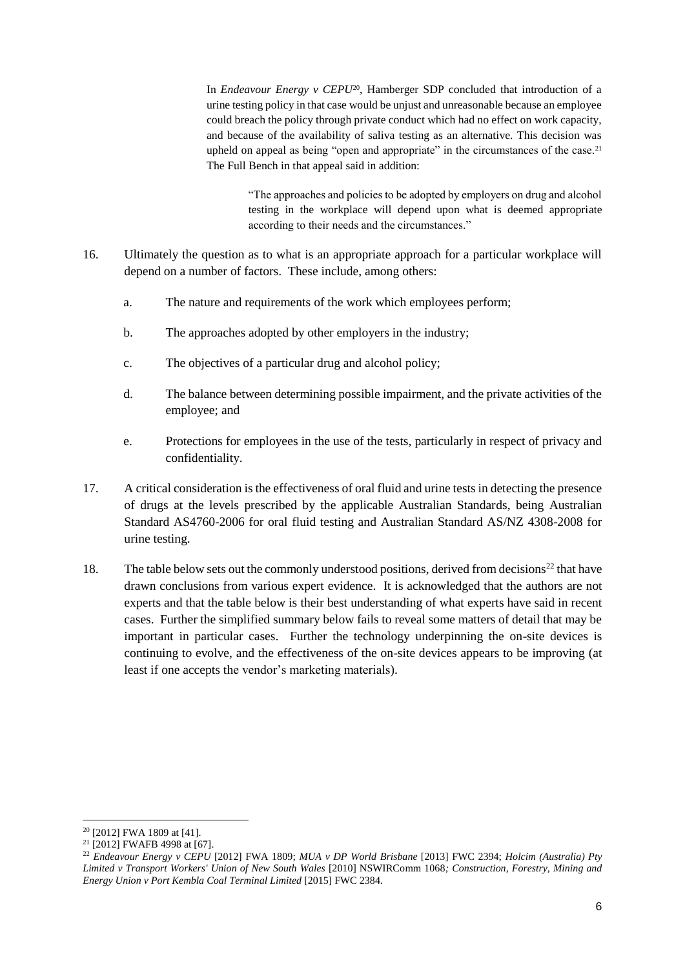In *Endeavour Energy v CEPU*20, Hamberger SDP concluded that introduction of a urine testing policy in that case would be unjust and unreasonable because an employee could breach the policy through private conduct which had no effect on work capacity, and because of the availability of saliva testing as an alternative. This decision was upheld on appeal as being "open and appropriate" in the circumstances of the case.<sup>21</sup> The Full Bench in that appeal said in addition:

> "The approaches and policies to be adopted by employers on drug and alcohol testing in the workplace will depend upon what is deemed appropriate according to their needs and the circumstances."

- 16. Ultimately the question as to what is an appropriate approach for a particular workplace will depend on a number of factors. These include, among others:
	- a. The nature and requirements of the work which employees perform;
	- b. The approaches adopted by other employers in the industry;
	- c. The objectives of a particular drug and alcohol policy;
	- d. The balance between determining possible impairment, and the private activities of the employee; and
	- e. Protections for employees in the use of the tests, particularly in respect of privacy and confidentiality.
- 17. A critical consideration is the effectiveness of oral fluid and urine tests in detecting the presence of drugs at the levels prescribed by the applicable Australian Standards, being Australian Standard AS4760-2006 for oral fluid testing and Australian Standard AS/NZ 4308-2008 for urine testing.
- 18. The table below sets out the commonly understood positions, derived from decisions<sup>22</sup> that have drawn conclusions from various expert evidence. It is acknowledged that the authors are not experts and that the table below is their best understanding of what experts have said in recent cases. Further the simplified summary below fails to reveal some matters of detail that may be important in particular cases. Further the technology underpinning the on-site devices is continuing to evolve, and the effectiveness of the on-site devices appears to be improving (at least if one accepts the vendor's marketing materials).

<sup>20</sup> [2012] FWA 1809 at [41].

<sup>21</sup> [2012] FWAFB 4998 at [67].

<sup>22</sup> *Endeavour Energy v CEPU* [2012] FWA 1809; *MUA v DP World Brisbane* [2013] FWC 2394; *Holcim (Australia) Pty Limited v Transport Workers' Union of New South Wales* [2010] NSWIRComm 1068*; Construction, Forestry, Mining and Energy Union v Port Kembla Coal Terminal Limited* [2015] FWC 2384.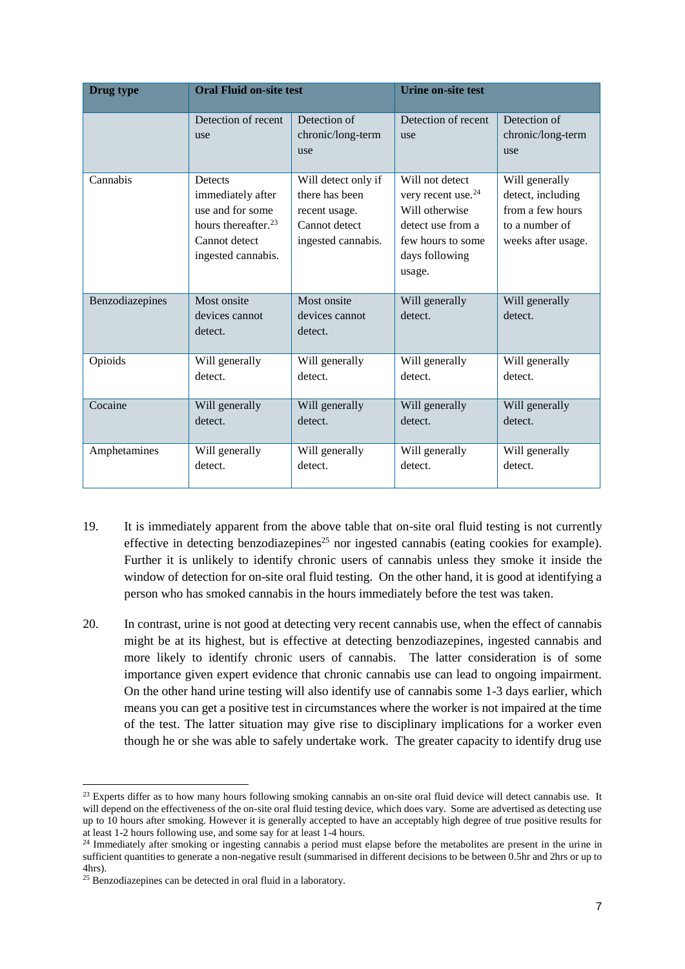| Drug type       | <b>Oral Fluid on-site test</b>                                                                                             |                                                                                               | <b>Urine on-site test</b>                                                                                                                 |                                                                                                 |
|-----------------|----------------------------------------------------------------------------------------------------------------------------|-----------------------------------------------------------------------------------------------|-------------------------------------------------------------------------------------------------------------------------------------------|-------------------------------------------------------------------------------------------------|
|                 | Detection of recent<br>use                                                                                                 | Detection of<br>chronic/long-term<br>use                                                      | Detection of recent<br>use                                                                                                                | Detection of<br>chronic/long-term<br>use                                                        |
| Cannabis        | Detects<br>immediately after<br>use and for some<br>hours thereafter. <sup>23</sup><br>Cannot detect<br>ingested cannabis. | Will detect only if<br>there has been<br>recent usage.<br>Cannot detect<br>ingested cannabis. | Will not detect<br>very recent use. <sup>24</sup><br>Will otherwise<br>detect use from a<br>few hours to some<br>days following<br>usage. | Will generally<br>detect, including<br>from a few hours<br>to a number of<br>weeks after usage. |
| Benzodiazepines | Most onsite<br>devices cannot<br>detect.                                                                                   | Most onsite<br>devices cannot<br>detect.                                                      | Will generally<br>detect.                                                                                                                 | Will generally<br>detect.                                                                       |
| Opioids         | Will generally<br>detect.                                                                                                  | Will generally<br>detect.                                                                     | Will generally<br>detect.                                                                                                                 | Will generally<br>detect.                                                                       |
| Cocaine         | Will generally<br>detect.                                                                                                  | Will generally<br>detect.                                                                     | Will generally<br>detect.                                                                                                                 | Will generally<br>detect.                                                                       |
| Amphetamines    | Will generally<br>detect.                                                                                                  | Will generally<br>detect.                                                                     | Will generally<br>detect.                                                                                                                 | Will generally<br>detect.                                                                       |

- 19. It is immediately apparent from the above table that on-site oral fluid testing is not currently effective in detecting benzodiazepines<sup>25</sup> nor ingested cannabis (eating cookies for example). Further it is unlikely to identify chronic users of cannabis unless they smoke it inside the window of detection for on-site oral fluid testing. On the other hand, it is good at identifying a person who has smoked cannabis in the hours immediately before the test was taken.
- 20. In contrast, urine is not good at detecting very recent cannabis use, when the effect of cannabis might be at its highest, but is effective at detecting benzodiazepines, ingested cannabis and more likely to identify chronic users of cannabis. The latter consideration is of some importance given expert evidence that chronic cannabis use can lead to ongoing impairment. On the other hand urine testing will also identify use of cannabis some 1-3 days earlier, which means you can get a positive test in circumstances where the worker is not impaired at the time of the test. The latter situation may give rise to disciplinary implications for a worker even though he or she was able to safely undertake work. The greater capacity to identify drug use

<sup>&</sup>lt;sup>23</sup> Experts differ as to how many hours following smoking cannabis an on-site oral fluid device will detect cannabis use. It will depend on the effectiveness of the on-site oral fluid testing device, which does vary. Some are advertised as detecting use up to 10 hours after smoking. However it is generally accepted to have an acceptably high degree of true positive results for at least 1-2 hours following use, and some say for at least 1-4 hours.

<sup>&</sup>lt;sup>24</sup> Immediately after smoking or ingesting cannabis a period must elapse before the metabolites are present in the urine in sufficient quantities to generate a non-negative result (summarised in different decisions to be between 0.5hr and 2hrs or up to 4hrs).

<sup>25</sup> Benzodiazepines can be detected in oral fluid in a laboratory.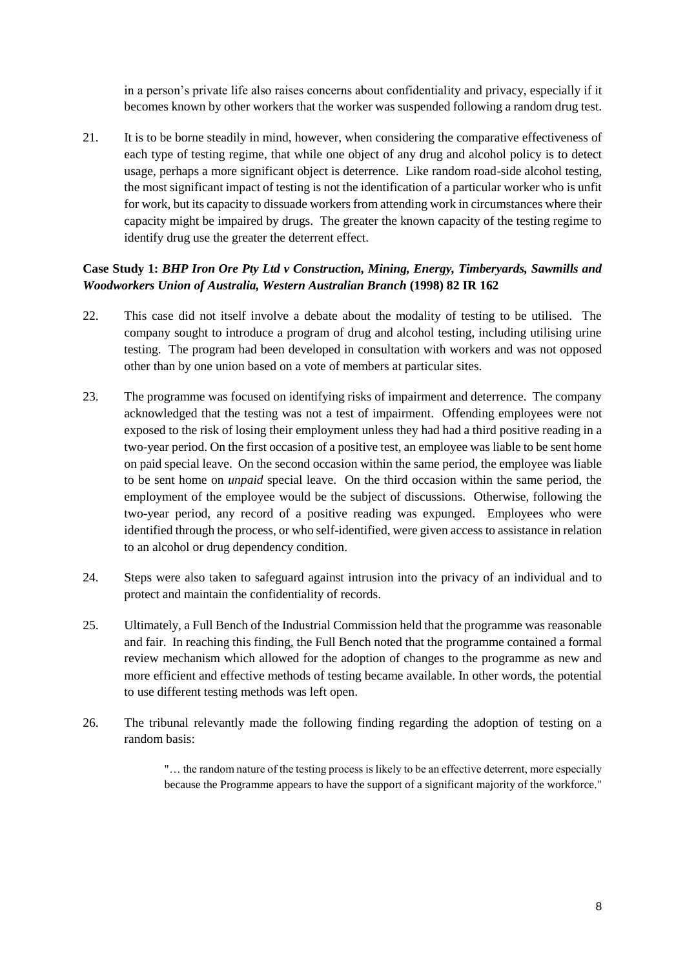in a person's private life also raises concerns about confidentiality and privacy, especially if it becomes known by other workers that the worker was suspended following a random drug test.

21. It is to be borne steadily in mind, however, when considering the comparative effectiveness of each type of testing regime, that while one object of any drug and alcohol policy is to detect usage, perhaps a more significant object is deterrence. Like random road-side alcohol testing, the most significant impact of testing is not the identification of a particular worker who is unfit for work, but its capacity to dissuade workers from attending work in circumstances where their capacity might be impaired by drugs. The greater the known capacity of the testing regime to identify drug use the greater the deterrent effect.

# **Case Study 1:** *BHP Iron Ore Pty Ltd v Construction, Mining, Energy, Timberyards, Sawmills and Woodworkers Union of Australia, Western Australian Branch* **(1998) 82 IR 162**

- 22. This case did not itself involve a debate about the modality of testing to be utilised. The company sought to introduce a program of drug and alcohol testing, including utilising urine testing. The program had been developed in consultation with workers and was not opposed other than by one union based on a vote of members at particular sites.
- 23. The programme was focused on identifying risks of impairment and deterrence. The company acknowledged that the testing was not a test of impairment. Offending employees were not exposed to the risk of losing their employment unless they had had a third positive reading in a two-year period. On the first occasion of a positive test, an employee was liable to be sent home on paid special leave. On the second occasion within the same period, the employee was liable to be sent home on *unpaid* special leave. On the third occasion within the same period, the employment of the employee would be the subject of discussions. Otherwise, following the two-year period, any record of a positive reading was expunged. Employees who were identified through the process, or who self-identified, were given access to assistance in relation to an alcohol or drug dependency condition.
- 24. Steps were also taken to safeguard against intrusion into the privacy of an individual and to protect and maintain the confidentiality of records.
- 25. Ultimately, a Full Bench of the Industrial Commission held that the programme was reasonable and fair. In reaching this finding, the Full Bench noted that the programme contained a formal review mechanism which allowed for the adoption of changes to the programme as new and more efficient and effective methods of testing became available. In other words, the potential to use different testing methods was left open.
- 26. The tribunal relevantly made the following finding regarding the adoption of testing on a random basis:

"… the random nature of the testing process is likely to be an effective deterrent, more especially because the Programme appears to have the support of a significant majority of the workforce."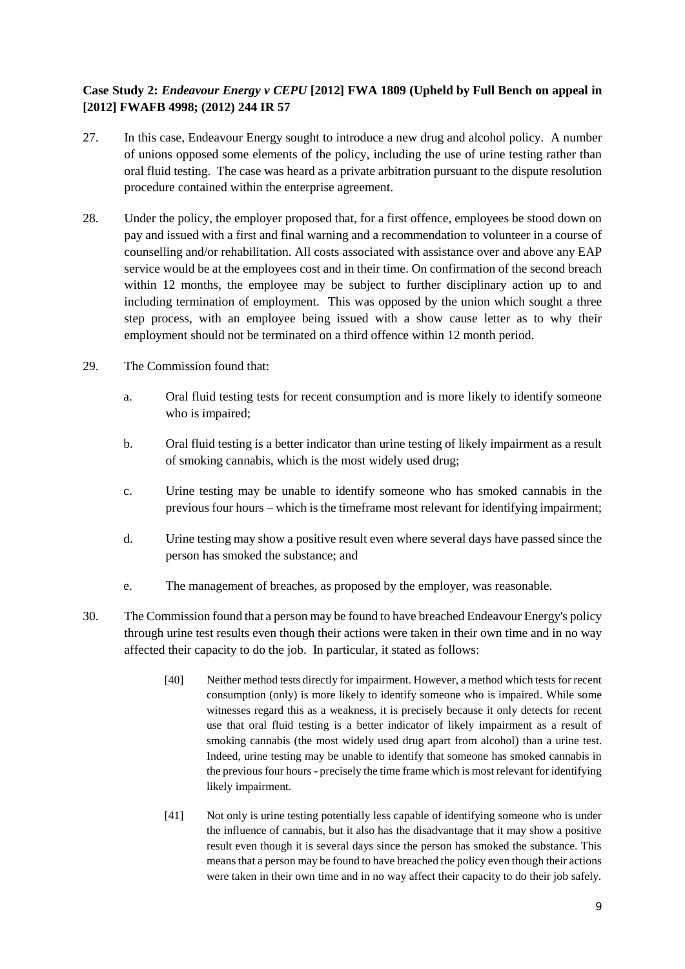# **Case Study 2:** *Endeavour Energy v CEPU* **[2012] FWA 1809 (Upheld by Full Bench on appeal in [2012] FWAFB 4998; (2012) 244 IR 57**

- 27. In this case, Endeavour Energy sought to introduce a new drug and alcohol policy. A number of unions opposed some elements of the policy, including the use of urine testing rather than oral fluid testing. The case was heard as a private arbitration pursuant to the dispute resolution procedure contained within the enterprise agreement.
- 28. Under the policy, the employer proposed that, for a first offence, employees be stood down on pay and issued with a first and final warning and a recommendation to volunteer in a course of counselling and/or rehabilitation. All costs associated with assistance over and above any EAP service would be at the employees cost and in their time. On confirmation of the second breach within 12 months, the employee may be subject to further disciplinary action up to and including termination of employment. This was opposed by the union which sought a three step process, with an employee being issued with a show cause letter as to why their employment should not be terminated on a third offence within 12 month period.
- 29. The Commission found that:
	- a. Oral fluid testing tests for recent consumption and is more likely to identify someone who is impaired;
	- b. Oral fluid testing is a better indicator than urine testing of likely impairment as a result of smoking cannabis, which is the most widely used drug;
	- c. Urine testing may be unable to identify someone who has smoked cannabis in the previous four hours – which is the timeframe most relevant for identifying impairment;
	- d. Urine testing may show a positive result even where several days have passed since the person has smoked the substance; and
	- e. The management of breaches, as proposed by the employer, was reasonable.
- 30. The Commission found that a person may be found to have breached Endeavour Energy's policy through urine test results even though their actions were taken in their own time and in no way affected their capacity to do the job. In particular, it stated as follows:
	- [40] Neither method tests directly for impairment. However, a method which tests for recent consumption (only) is more likely to identify someone who is impaired. While some witnesses regard this as a weakness, it is precisely because it only detects for recent use that oral fluid testing is a better indicator of likely impairment as a result of smoking cannabis (the most widely used drug apart from alcohol) than a urine test. Indeed, urine testing may be unable to identify that someone has smoked cannabis in the previous four hours - precisely the time frame which is most relevant for identifying likely impairment.
	- [41] Not only is urine testing potentially less capable of identifying someone who is under the influence of cannabis, but it also has the disadvantage that it may show a positive result even though it is several days since the person has smoked the substance. This means that a person may be found to have breached the policy even though their actions were taken in their own time and in no way affect their capacity to do their job safely.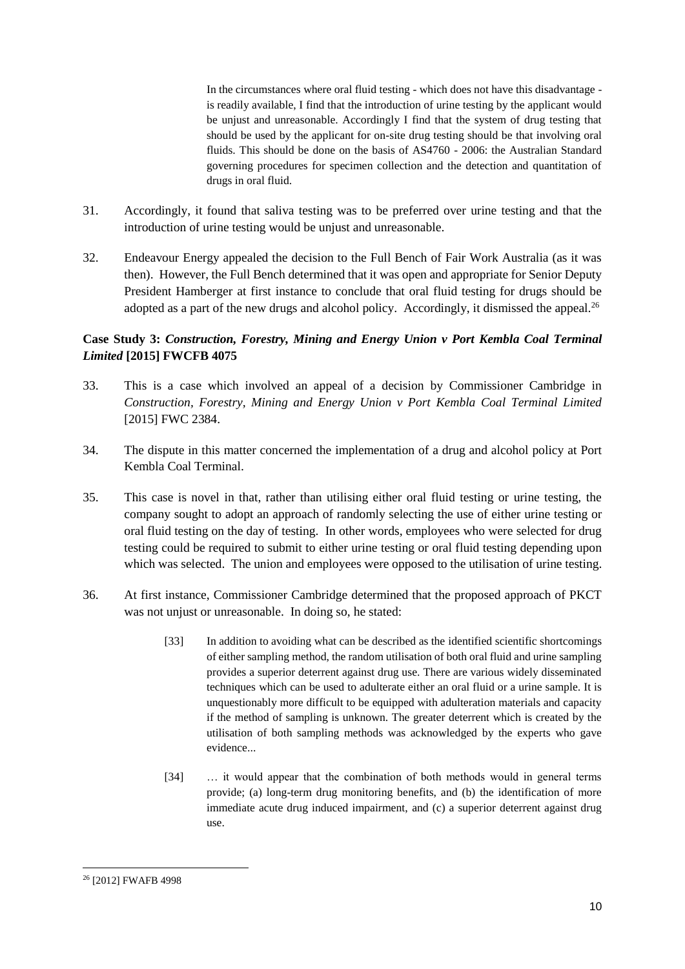In the circumstances where oral fluid testing - which does not have this disadvantage is readily available, I find that the introduction of urine testing by the applicant would be unjust and unreasonable. Accordingly I find that the system of drug testing that should be used by the applicant for on-site drug testing should be that involving oral fluids. This should be done on the basis of AS4760 - 2006: the Australian Standard governing procedures for specimen collection and the detection and quantitation of drugs in oral fluid.

- 31. Accordingly, it found that saliva testing was to be preferred over urine testing and that the introduction of urine testing would be unjust and unreasonable.
- 32. Endeavour Energy appealed the decision to the Full Bench of Fair Work Australia (as it was then). However, the Full Bench determined that it was open and appropriate for Senior Deputy President Hamberger at first instance to conclude that oral fluid testing for drugs should be adopted as a part of the new drugs and alcohol policy. Accordingly, it dismissed the appeal.<sup>26</sup>

# **Case Study 3:** *Construction, Forestry, Mining and Energy Union v Port Kembla Coal Terminal Limited* **[2015] FWCFB 4075**

- 33. This is a case which involved an appeal of a decision by Commissioner Cambridge in *Construction, Forestry, Mining and Energy Union v Port Kembla Coal Terminal Limited* [2015] FWC 2384.
- 34. The dispute in this matter concerned the implementation of a drug and alcohol policy at Port Kembla Coal Terminal.
- 35. This case is novel in that, rather than utilising either oral fluid testing or urine testing, the company sought to adopt an approach of randomly selecting the use of either urine testing or oral fluid testing on the day of testing. In other words, employees who were selected for drug testing could be required to submit to either urine testing or oral fluid testing depending upon which was selected. The union and employees were opposed to the utilisation of urine testing.
- 36. At first instance, Commissioner Cambridge determined that the proposed approach of PKCT was not unjust or unreasonable. In doing so, he stated:
	- [33] In addition to avoiding what can be described as the identified scientific shortcomings of either sampling method, the random utilisation of both oral fluid and urine sampling provides a superior deterrent against drug use. There are various widely disseminated techniques which can be used to adulterate either an oral fluid or a urine sample. It is unquestionably more difficult to be equipped with adulteration materials and capacity if the method of sampling is unknown. The greater deterrent which is created by the utilisation of both sampling methods was acknowledged by the experts who gave evidence...
	- [34] … it would appear that the combination of both methods would in general terms provide; (a) long-term drug monitoring benefits, and (b) the identification of more immediate acute drug induced impairment, and (c) a superior deterrent against drug use.

 $\overline{a}$ <sup>26</sup> [2012] FWAFB 4998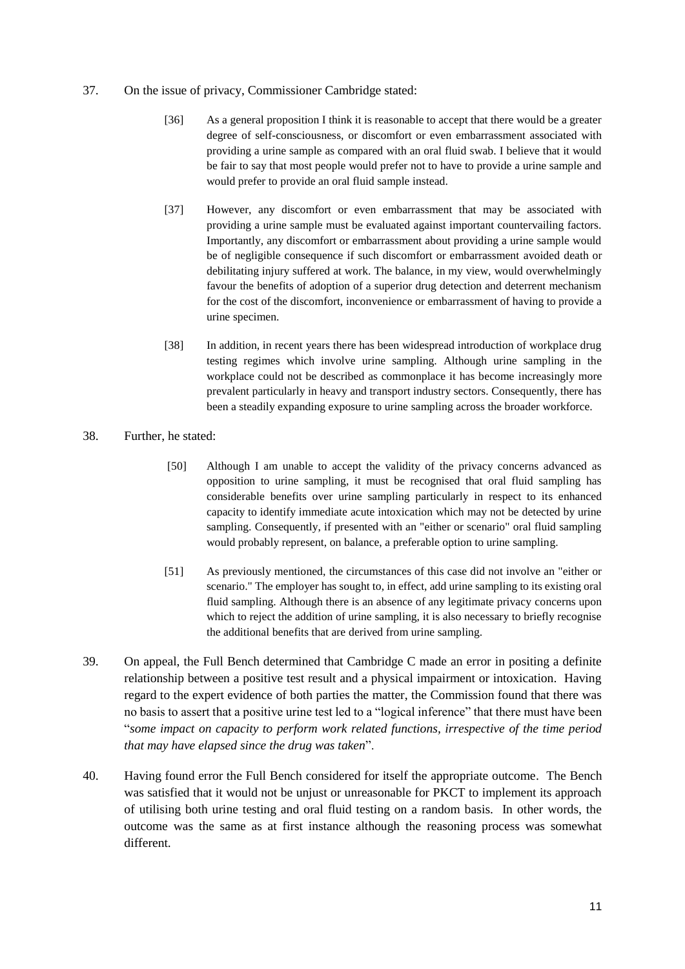#### 37. On the issue of privacy, Commissioner Cambridge stated:

- [36] As a general proposition I think it is reasonable to accept that there would be a greater degree of self-consciousness, or discomfort or even embarrassment associated with providing a urine sample as compared with an oral fluid swab. I believe that it would be fair to say that most people would prefer not to have to provide a urine sample and would prefer to provide an oral fluid sample instead.
- [37] However, any discomfort or even embarrassment that may be associated with providing a urine sample must be evaluated against important countervailing factors. Importantly, any discomfort or embarrassment about providing a urine sample would be of negligible consequence if such discomfort or embarrassment avoided death or debilitating injury suffered at work. The balance, in my view, would overwhelmingly favour the benefits of adoption of a superior drug detection and deterrent mechanism for the cost of the discomfort, inconvenience or embarrassment of having to provide a urine specimen.
- [38] In addition, in recent years there has been widespread introduction of workplace drug testing regimes which involve urine sampling. Although urine sampling in the workplace could not be described as commonplace it has become increasingly more prevalent particularly in heavy and transport industry sectors. Consequently, there has been a steadily expanding exposure to urine sampling across the broader workforce.

### 38. Further, he stated:

- [50] Although I am unable to accept the validity of the privacy concerns advanced as opposition to urine sampling, it must be recognised that oral fluid sampling has considerable benefits over urine sampling particularly in respect to its enhanced capacity to identify immediate acute intoxication which may not be detected by urine sampling. Consequently, if presented with an "either or scenario" oral fluid sampling would probably represent, on balance, a preferable option to urine sampling.
- [51] As previously mentioned, the circumstances of this case did not involve an "either or scenario." The employer has sought to, in effect, add urine sampling to its existing oral fluid sampling. Although there is an absence of any legitimate privacy concerns upon which to reject the addition of urine sampling, it is also necessary to briefly recognise the additional benefits that are derived from urine sampling.
- 39. On appeal, the Full Bench determined that Cambridge C made an error in positing a definite relationship between a positive test result and a physical impairment or intoxication. Having regard to the expert evidence of both parties the matter, the Commission found that there was no basis to assert that a positive urine test led to a "logical inference" that there must have been "*some impact on capacity to perform work related functions, irrespective of the time period that may have elapsed since the drug was taken*".
- 40. Having found error the Full Bench considered for itself the appropriate outcome. The Bench was satisfied that it would not be unjust or unreasonable for PKCT to implement its approach of utilising both urine testing and oral fluid testing on a random basis. In other words, the outcome was the same as at first instance although the reasoning process was somewhat different.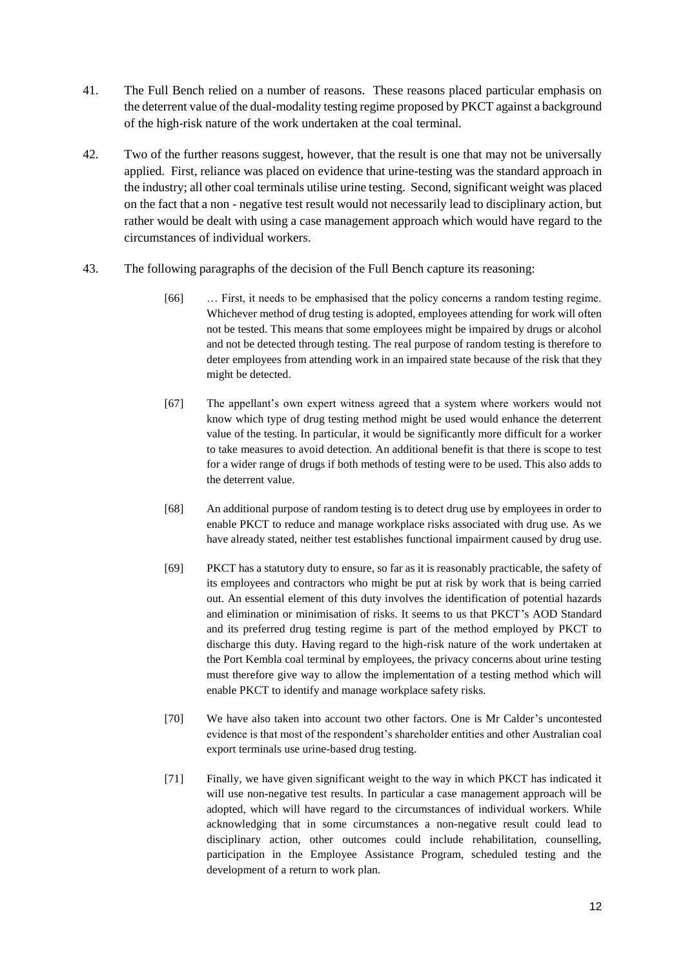- 41. The Full Bench relied on a number of reasons. These reasons placed particular emphasis on the deterrent value of the dual-modality testing regime proposed by PKCT against a background of the high-risk nature of the work undertaken at the coal terminal.
- 42. Two of the further reasons suggest, however, that the result is one that may not be universally applied. First, reliance was placed on evidence that urine-testing was the standard approach in the industry; all other coal terminals utilise urine testing. Second, significant weight was placed on the fact that a non - negative test result would not necessarily lead to disciplinary action, but rather would be dealt with using a case management approach which would have regard to the circumstances of individual workers.
- 43. The following paragraphs of the decision of the Full Bench capture its reasoning:
	- [66] … First, it needs to be emphasised that the policy concerns a random testing regime. Whichever method of drug testing is adopted, employees attending for work will often not be tested. This means that some employees might be impaired by drugs or alcohol and not be detected through testing. The real purpose of random testing is therefore to deter employees from attending work in an impaired state because of the risk that they might be detected.
	- [67] The appellant's own expert witness agreed that a system where workers would not know which type of drug testing method might be used would enhance the deterrent value of the testing. In particular, it would be significantly more difficult for a worker to take measures to avoid detection. An additional benefit is that there is scope to test for a wider range of drugs if both methods of testing were to be used. This also adds to the deterrent value.
	- [68] An additional purpose of random testing is to detect drug use by employees in order to enable PKCT to reduce and manage workplace risks associated with drug use. As we have already stated, neither test establishes functional impairment caused by drug use.
	- [69] PKCT has a statutory duty to ensure, so far as it is reasonably practicable, the safety of its employees and contractors who might be put at risk by work that is being carried out. An essential element of this duty involves the identification of potential hazards and elimination or minimisation of risks. It seems to us that PKCT's AOD Standard and its preferred drug testing regime is part of the method employed by PKCT to discharge this duty. Having regard to the high-risk nature of the work undertaken at the Port Kembla coal terminal by employees, the privacy concerns about urine testing must therefore give way to allow the implementation of a testing method which will enable PKCT to identify and manage workplace safety risks.
	- [70] We have also taken into account two other factors. One is Mr Calder's uncontested evidence is that most of the respondent's shareholder entities and other Australian coal export terminals use urine-based drug testing.
	- [71] Finally, we have given significant weight to the way in which PKCT has indicated it will use non-negative test results. In particular a case management approach will be adopted, which will have regard to the circumstances of individual workers. While acknowledging that in some circumstances a non-negative result could lead to disciplinary action, other outcomes could include rehabilitation, counselling, participation in the Employee Assistance Program, scheduled testing and the development of a return to work plan.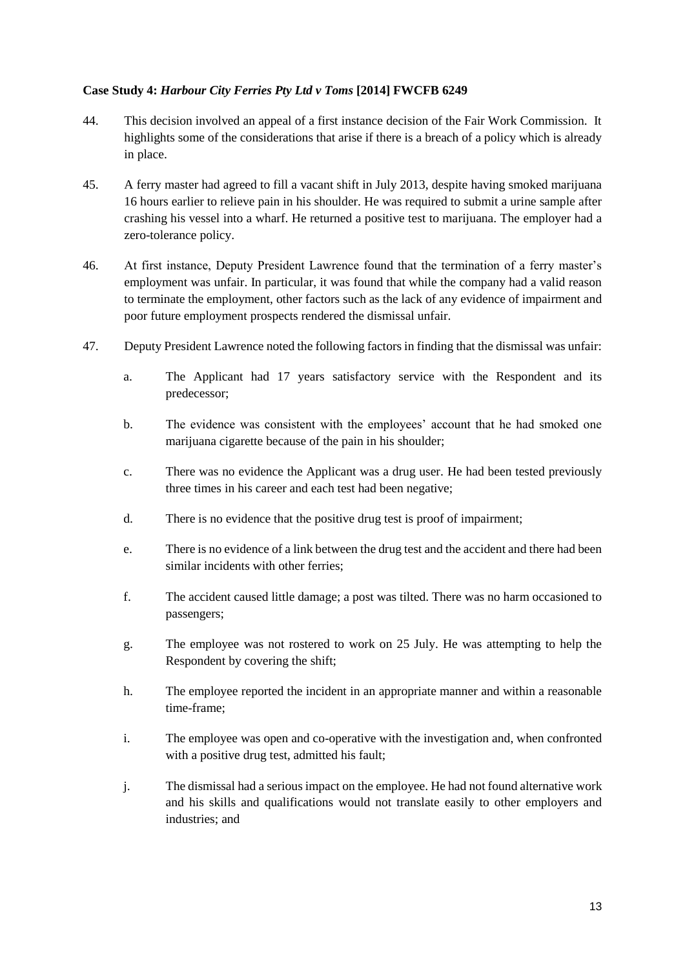### **Case Study 4:** *Harbour City Ferries Pty Ltd v Toms* **[2014] FWCFB 6249**

- 44. This decision involved an appeal of a first instance decision of the Fair Work Commission. It highlights some of the considerations that arise if there is a breach of a policy which is already in place.
- 45. A ferry master had agreed to fill a vacant shift in July 2013, despite having smoked marijuana 16 hours earlier to relieve pain in his shoulder. He was required to submit a urine sample after crashing his vessel into a wharf. He returned a positive test to marijuana. The employer had a zero-tolerance policy.
- 46. At first instance, Deputy President Lawrence found that the termination of a ferry master's employment was unfair. In particular, it was found that while the company had a valid reason to terminate the employment, other factors such as the lack of any evidence of impairment and poor future employment prospects rendered the dismissal unfair.
- 47. Deputy President Lawrence noted the following factors in finding that the dismissal was unfair:
	- a. The Applicant had 17 years satisfactory service with the Respondent and its predecessor;
	- b. The evidence was consistent with the employees' account that he had smoked one marijuana cigarette because of the pain in his shoulder;
	- c. There was no evidence the Applicant was a drug user. He had been tested previously three times in his career and each test had been negative;
	- d. There is no evidence that the positive drug test is proof of impairment;
	- e. There is no evidence of a link between the drug test and the accident and there had been similar incidents with other ferries;
	- f. The accident caused little damage; a post was tilted. There was no harm occasioned to passengers;
	- g. The employee was not rostered to work on 25 July. He was attempting to help the Respondent by covering the shift;
	- h. The employee reported the incident in an appropriate manner and within a reasonable time-frame;
	- i. The employee was open and co-operative with the investigation and, when confronted with a positive drug test, admitted his fault;
	- j. The dismissal had a serious impact on the employee. He had not found alternative work and his skills and qualifications would not translate easily to other employers and industries; and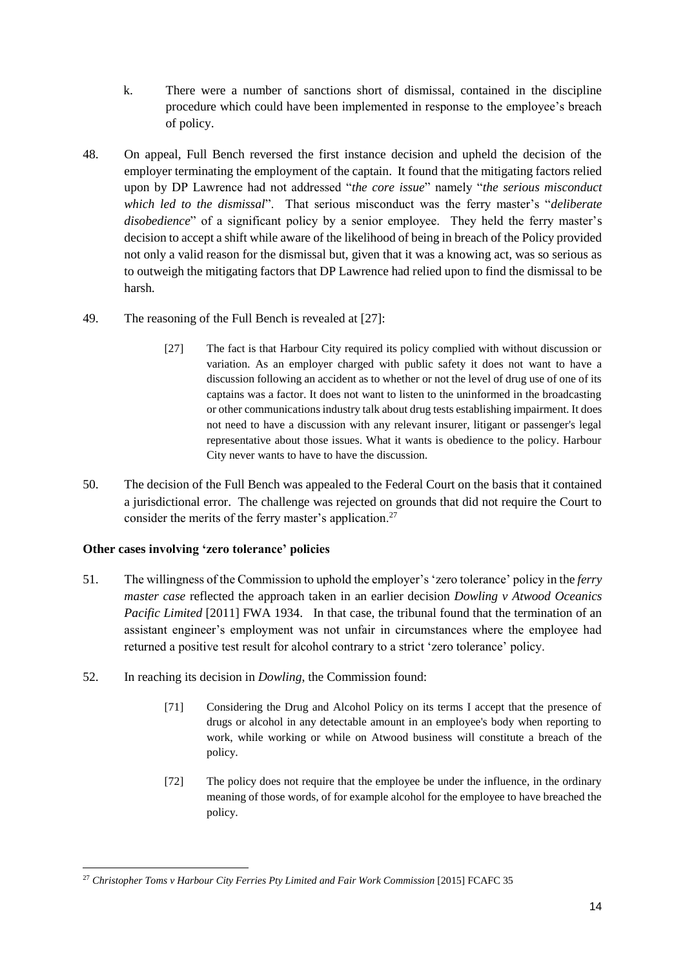- k. There were a number of sanctions short of dismissal, contained in the discipline procedure which could have been implemented in response to the employee's breach of policy.
- 48. On appeal, Full Bench reversed the first instance decision and upheld the decision of the employer terminating the employment of the captain. It found that the mitigating factors relied upon by DP Lawrence had not addressed "*the core issue*" namely "*the serious misconduct which led to the dismissal*". That serious misconduct was the ferry master's "*deliberate disobedience*" of a significant policy by a senior employee. They held the ferry master's decision to accept a shift while aware of the likelihood of being in breach of the Policy provided not only a valid reason for the dismissal but, given that it was a knowing act, was so serious as to outweigh the mitigating factors that DP Lawrence had relied upon to find the dismissal to be harsh.
- 49. The reasoning of the Full Bench is revealed at [27]:
	- [27] The fact is that Harbour City required its policy complied with without discussion or variation. As an employer charged with public safety it does not want to have a discussion following an accident as to whether or not the level of drug use of one of its captains was a factor. It does not want to listen to the uninformed in the broadcasting or other communications industry talk about drug tests establishing impairment. It does not need to have a discussion with any relevant insurer, litigant or passenger's legal representative about those issues. What it wants is obedience to the policy. Harbour City never wants to have to have the discussion.
- 50. The decision of the Full Bench was appealed to the Federal Court on the basis that it contained a jurisdictional error. The challenge was rejected on grounds that did not require the Court to consider the merits of the ferry master's application.<sup>27</sup>

# **Other cases involving 'zero tolerance' policies**

- 51. The willingness of the Commission to uphold the employer's 'zero tolerance' policy in the *ferry master case* reflected the approach taken in an earlier decision *Dowling v Atwood Oceanics Pacific Limited* [2011] FWA 1934. In that case, the tribunal found that the termination of an assistant engineer's employment was not unfair in circumstances where the employee had returned a positive test result for alcohol contrary to a strict 'zero tolerance' policy.
- 52. In reaching its decision in *Dowling*, the Commission found:
	- [71] Considering the Drug and Alcohol Policy on its terms I accept that the presence of drugs or alcohol in any detectable amount in an employee's body when reporting to work, while working or while on Atwood business will constitute a breach of the policy.
	- [72] The policy does not require that the employee be under the influence, in the ordinary meaning of those words, of for example alcohol for the employee to have breached the policy.

 $\overline{a}$ <sup>27</sup> Christopher Toms v Harbour City Ferries Pty Limited and Fair Work Commission [2015] FCAFC 35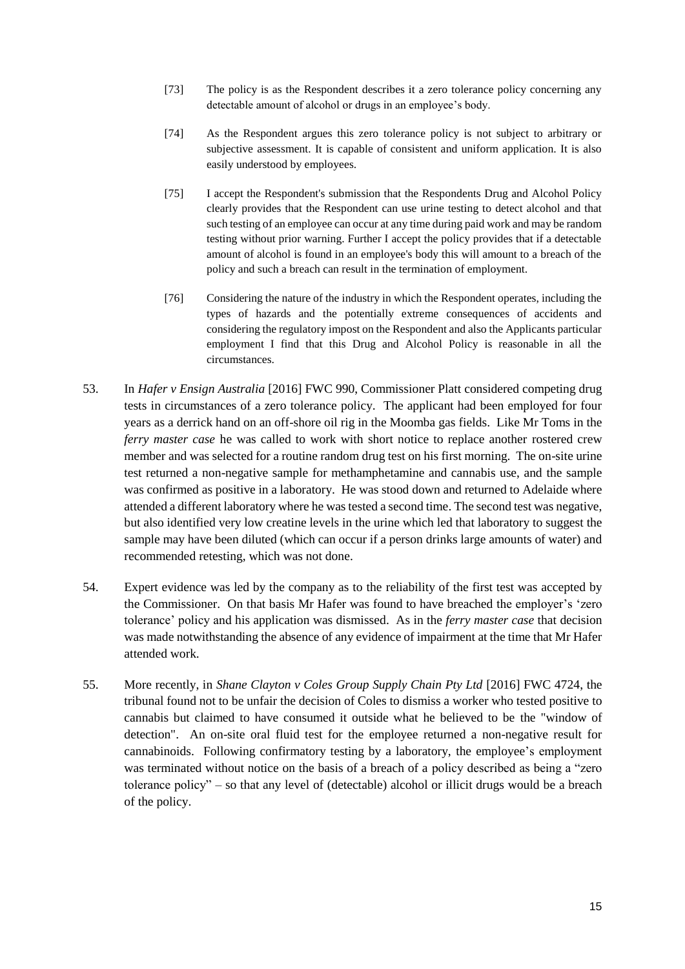- [73] The policy is as the Respondent describes it a zero tolerance policy concerning any detectable amount of alcohol or drugs in an employee's body.
- [74] As the Respondent argues this zero tolerance policy is not subject to arbitrary or subjective assessment. It is capable of consistent and uniform application. It is also easily understood by employees.
- [75] I accept the Respondent's submission that the Respondents Drug and Alcohol Policy clearly provides that the Respondent can use urine testing to detect alcohol and that such testing of an employee can occur at any time during paid work and may be random testing without prior warning. Further I accept the policy provides that if a detectable amount of alcohol is found in an employee's body this will amount to a breach of the policy and such a breach can result in the termination of employment.
- [76] Considering the nature of the industry in which the Respondent operates, including the types of hazards and the potentially extreme consequences of accidents and considering the regulatory impost on the Respondent and also the Applicants particular employment I find that this Drug and Alcohol Policy is reasonable in all the circumstances.
- 53. In *Hafer v Ensign Australia* [2016] FWC 990, Commissioner Platt considered competing drug tests in circumstances of a zero tolerance policy. The applicant had been employed for four years as a derrick hand on an off-shore oil rig in the Moomba gas fields. Like Mr Toms in the *ferry master case* he was called to work with short notice to replace another rostered crew member and was selected for a routine random drug test on his first morning. The on-site urine test returned a non-negative sample for methamphetamine and cannabis use, and the sample was confirmed as positive in a laboratory. He was stood down and returned to Adelaide where attended a different laboratory where he was tested a second time. The second test was negative, but also identified very low creatine levels in the urine which led that laboratory to suggest the sample may have been diluted (which can occur if a person drinks large amounts of water) and recommended retesting, which was not done.
- 54. Expert evidence was led by the company as to the reliability of the first test was accepted by the Commissioner. On that basis Mr Hafer was found to have breached the employer's 'zero tolerance' policy and his application was dismissed. As in the *ferry master case* that decision was made notwithstanding the absence of any evidence of impairment at the time that Mr Hafer attended work.
- 55. More recently, in *Shane Clayton v Coles Group Supply Chain Pty Ltd* [2016] FWC 4724, the tribunal found not to be unfair the decision of Coles to dismiss a worker who tested positive to cannabis but claimed to have consumed it outside what he believed to be the "window of detection". An on-site oral fluid test for the employee returned a non-negative result for cannabinoids. Following confirmatory testing by a laboratory, the employee's employment was terminated without notice on the basis of a breach of a policy described as being a "zero tolerance policy" – so that any level of (detectable) alcohol or illicit drugs would be a breach of the policy.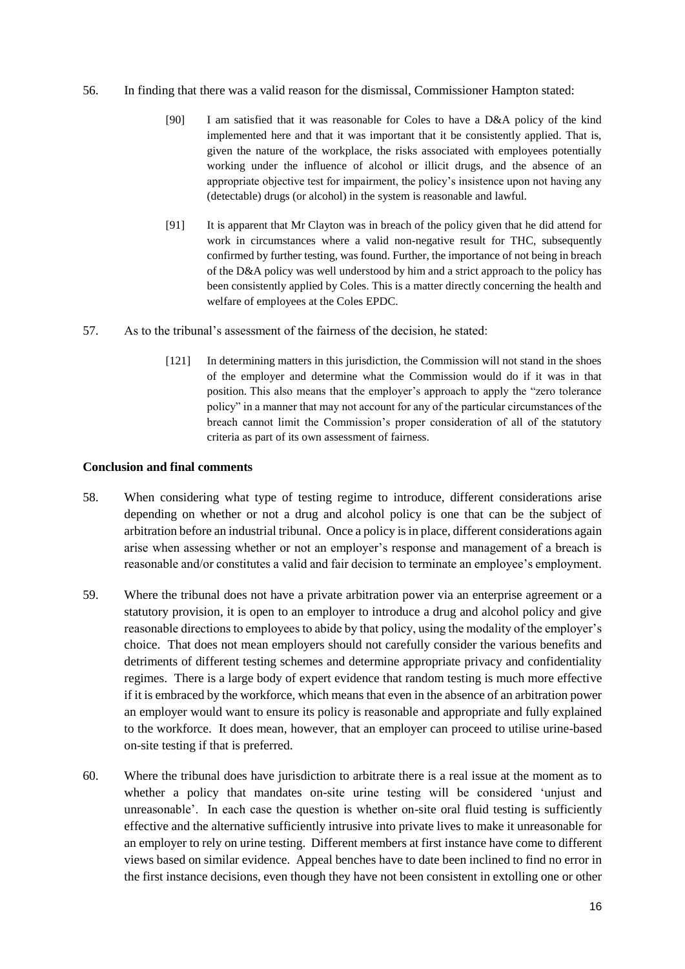#### 56. In finding that there was a valid reason for the dismissal, Commissioner Hampton stated:

- [90] I am satisfied that it was reasonable for Coles to have a D&A policy of the kind implemented here and that it was important that it be consistently applied. That is, given the nature of the workplace, the risks associated with employees potentially working under the influence of alcohol or illicit drugs, and the absence of an appropriate objective test for impairment, the policy's insistence upon not having any (detectable) drugs (or alcohol) in the system is reasonable and lawful.
- [91] It is apparent that Mr Clayton was in breach of the policy given that he did attend for work in circumstances where a valid non-negative result for THC, subsequently confirmed by further testing, was found. Further, the importance of not being in breach of the D&A policy was well understood by him and a strict approach to the policy has been consistently applied by Coles. This is a matter directly concerning the health and welfare of employees at the Coles EPDC.
- 57. As to the tribunal's assessment of the fairness of the decision, he stated:
	- [121] In determining matters in this jurisdiction, the Commission will not stand in the shoes of the employer and determine what the Commission would do if it was in that position. This also means that the employer's approach to apply the "zero tolerance policy" in a manner that may not account for any of the particular circumstances of the breach cannot limit the Commission's proper consideration of all of the statutory criteria as part of its own assessment of fairness.

#### **Conclusion and final comments**

- 58. When considering what type of testing regime to introduce, different considerations arise depending on whether or not a drug and alcohol policy is one that can be the subject of arbitration before an industrial tribunal. Once a policy is in place, different considerations again arise when assessing whether or not an employer's response and management of a breach is reasonable and/or constitutes a valid and fair decision to terminate an employee's employment.
- 59. Where the tribunal does not have a private arbitration power via an enterprise agreement or a statutory provision, it is open to an employer to introduce a drug and alcohol policy and give reasonable directions to employees to abide by that policy, using the modality of the employer's choice. That does not mean employers should not carefully consider the various benefits and detriments of different testing schemes and determine appropriate privacy and confidentiality regimes. There is a large body of expert evidence that random testing is much more effective if it is embraced by the workforce, which means that even in the absence of an arbitration power an employer would want to ensure its policy is reasonable and appropriate and fully explained to the workforce. It does mean, however, that an employer can proceed to utilise urine-based on-site testing if that is preferred.
- 60. Where the tribunal does have jurisdiction to arbitrate there is a real issue at the moment as to whether a policy that mandates on-site urine testing will be considered 'unjust and unreasonable'. In each case the question is whether on-site oral fluid testing is sufficiently effective and the alternative sufficiently intrusive into private lives to make it unreasonable for an employer to rely on urine testing. Different members at first instance have come to different views based on similar evidence. Appeal benches have to date been inclined to find no error in the first instance decisions, even though they have not been consistent in extolling one or other